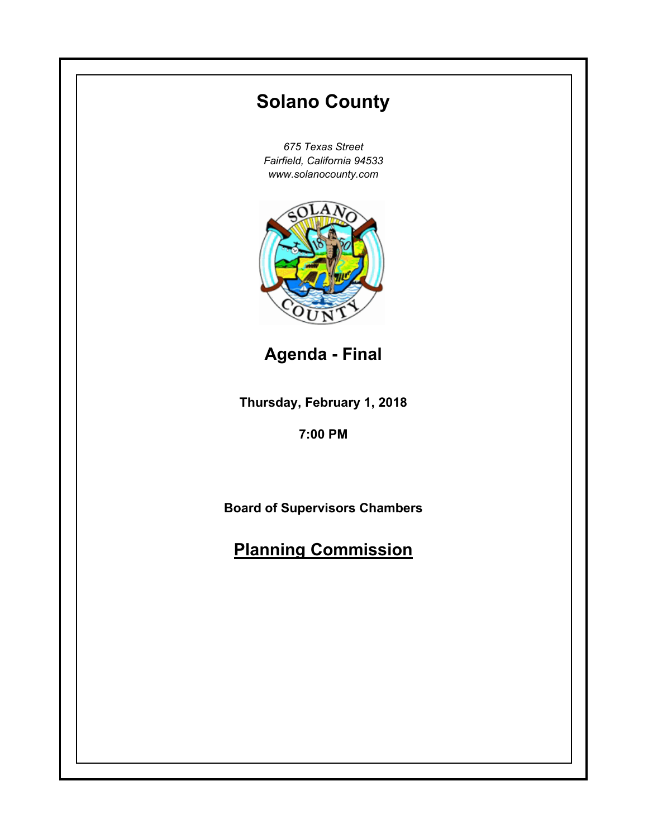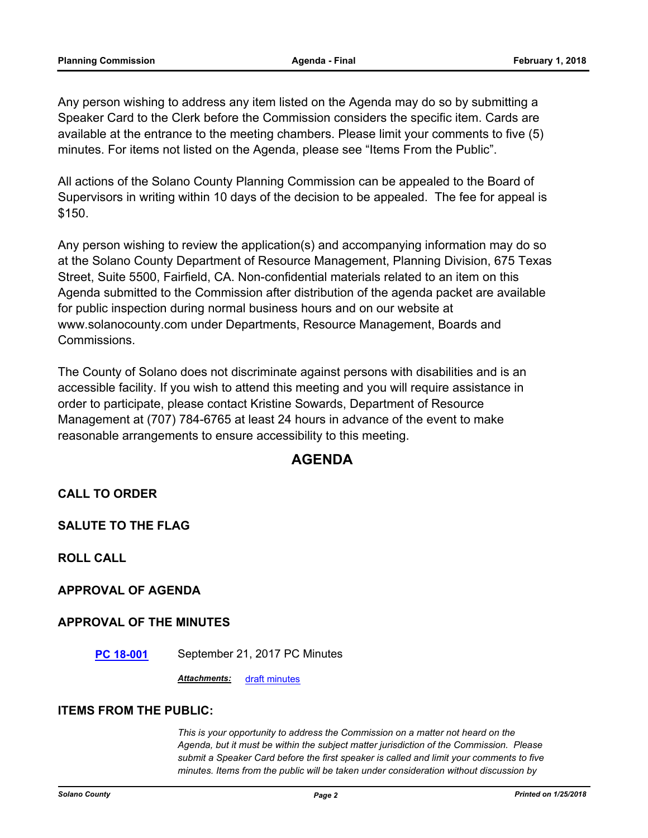Any person wishing to address any item listed on the Agenda may do so by submitting a Speaker Card to the Clerk before the Commission considers the specific item. Cards are available at the entrance to the meeting chambers. Please limit your comments to five (5) minutes. For items not listed on the Agenda, please see "Items From the Public".

All actions of the Solano County Planning Commission can be appealed to the Board of Supervisors in writing within 10 days of the decision to be appealed. The fee for appeal is \$150.

Any person wishing to review the application(s) and accompanying information may do so at the Solano County Department of Resource Management, Planning Division, 675 Texas Street, Suite 5500, Fairfield, CA. Non-confidential materials related to an item on this Agenda submitted to the Commission after distribution of the agenda packet are available for public inspection during normal business hours and on our website at www.solanocounty.com under Departments, Resource Management, Boards and Commissions.

The County of Solano does not discriminate against persons with disabilities and is an accessible facility. If you wish to attend this meeting and you will require assistance in order to participate, please contact Kristine Sowards, Department of Resource Management at (707) 784-6765 at least 24 hours in advance of the event to make reasonable arrangements to ensure accessibility to this meeting.

### **AGENDA**

**CALL TO ORDER**

**SALUTE TO THE FLAG**

**ROLL CALL**

**APPROVAL OF AGENDA**

#### **APPROVAL OF THE MINUTES**

**[PC 18-001](#page-3-0)** September 21, 2017 PC Minutes

*Attachments:* [draft minutes](#page-4-0)

#### **ITEMS FROM THE PUBLIC:**

*This is your opportunity to address the Commission on a matter not heard on the Agenda, but it must be within the subject matter jurisdiction of the Commission. Please submit a Speaker Card before the first speaker is called and limit your comments to five minutes. Items from the public will be taken under consideration without discussion by*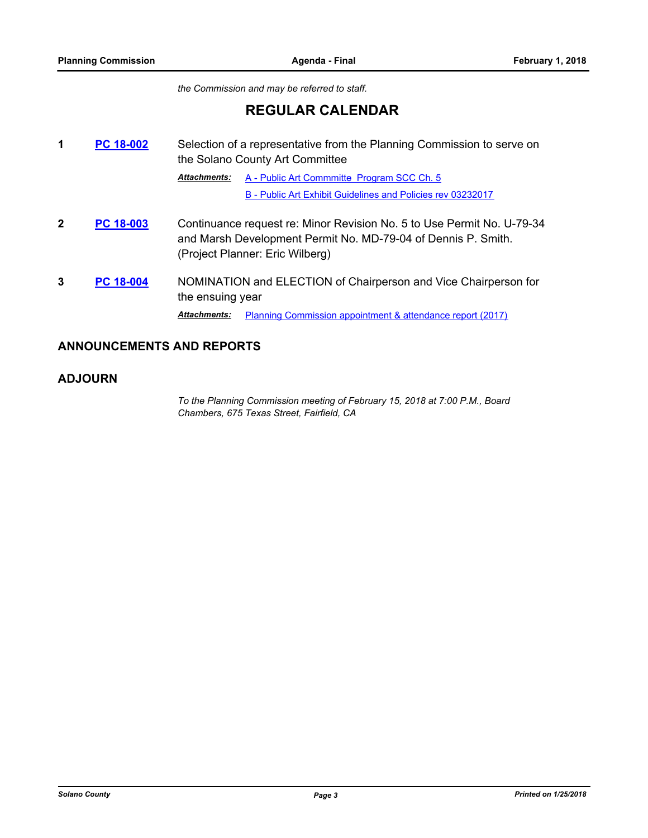*the Commission and may be referred to staff.*

## **REGULAR CALENDAR**

**1** [PC 18-002](#page-11-0) Selection of a representative from the Planning Commission to serve on the Solano County Art Committee [A - Public Art Commmitte Program SCC Ch. 5](#page-12-0) [B - Public Art Exhibit Guidelines and Policies rev 03232017](#page-14-0) *Attachments:* **2 [PC 18-003](#page-19-0)** Continuance request re: Minor Revision No. 5 to Use Permit No. U-79-34 and Marsh Development Permit No. MD-79-04 of Dennis P. Smith. (Project Planner: Eric Wilberg) **3 [PC 18-004](#page-20-0)** NOMINATION and ELECTION of Chairperson and Vice Chairperson for the ensuing year **Attachments:** [Planning Commission appointment & attendance report \(2017\)](#page-21-0)

#### **ANNOUNCEMENTS AND REPORTS**

#### **ADJOURN**

*To the Planning Commission meeting of February 15, 2018 at 7:00 P.M., Board Chambers, 675 Texas Street, Fairfield, CA*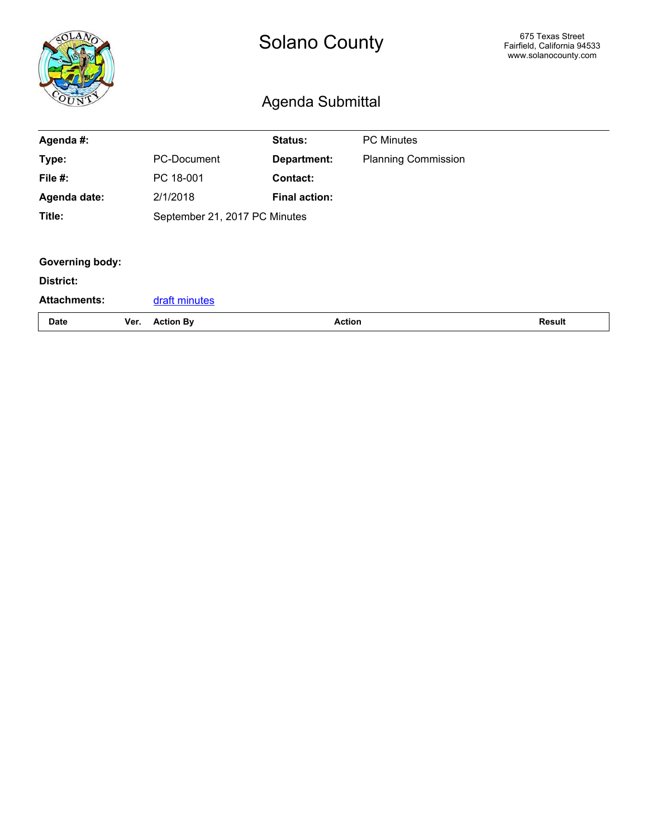<span id="page-3-0"></span>

|                        |      | <b>Solano County</b><br>Agenda Submittal |                      |               | 675 Texas Street<br>Fairfield, California 94533<br>www.solanocounty.com |               |
|------------------------|------|------------------------------------------|----------------------|---------------|-------------------------------------------------------------------------|---------------|
| Agenda #:              |      |                                          | <b>Status:</b>       |               | <b>PC Minutes</b>                                                       |               |
| Type:                  |      | <b>PC-Document</b>                       | Department:          |               | <b>Planning Commission</b>                                              |               |
| File #:                |      | PC 18-001                                | Contact:             |               |                                                                         |               |
| Agenda date:           |      | 2/1/2018                                 | <b>Final action:</b> |               |                                                                         |               |
| Title:                 |      | September 21, 2017 PC Minutes            |                      |               |                                                                         |               |
|                        |      |                                          |                      |               |                                                                         |               |
| <b>Governing body:</b> |      |                                          |                      |               |                                                                         |               |
| District:              |      |                                          |                      |               |                                                                         |               |
| <b>Attachments:</b>    |      | draft minutes                            |                      |               |                                                                         |               |
| <b>Date</b>            | Ver. | <b>Action By</b>                         |                      | <b>Action</b> |                                                                         | <b>Result</b> |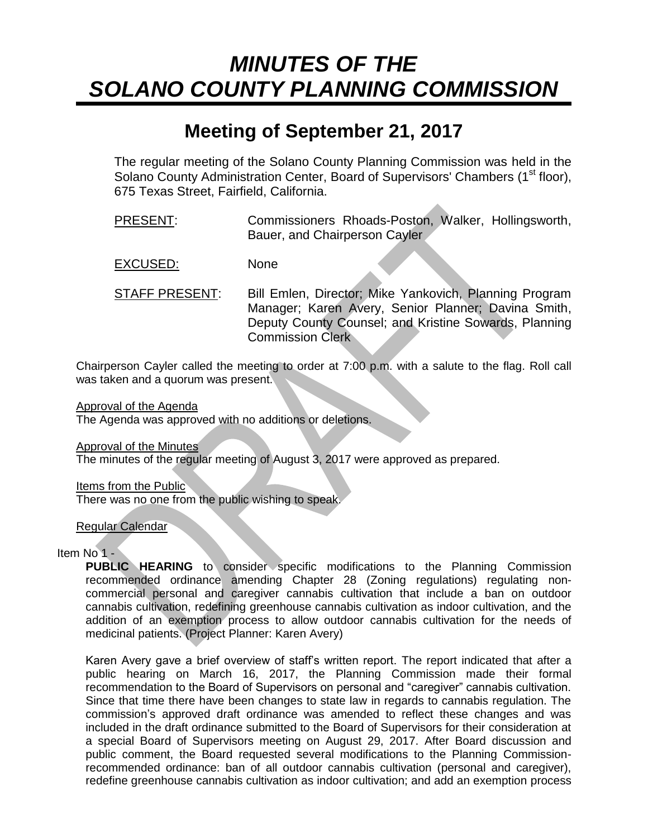# <span id="page-4-0"></span>*MINUTES OF THE SOLANO COUNTY PLANNING COMMISSION*

# **Meeting of September 21, 2017**

The regular meeting of the Solano County Planning Commission was held in the Solano County Administration Center, Board of Supervisors' Chambers (1<sup>st</sup> floor), 675 Texas Street, Fairfield, California.

- PRESENT: Commissioners Rhoads-Poston, Walker, Hollingsworth, Bauer, and Chairperson Cayler
- EXCUSED: None
- STAFF PRESENT: Bill Emlen, Director; Mike Yankovich, Planning Program Manager; Karen Avery, Senior Planner; Davina Smith, Deputy County Counsel; and Kristine Sowards, Planning Commission Clerk

Chairperson Cayler called the meeting to order at 7:00 p.m. with a salute to the flag. Roll call was taken and a quorum was present.

Approval of the Agenda

The Agenda was approved with no additions or deletions.

Approval of the Minutes

The minutes of the regular meeting of August 3, 2017 were approved as prepared.

Items from the Public

There was no one from the public wishing to speak.

Regular Calendar

#### Item No 1 -

**PUBLIC HEARING** to consider specific modifications to the Planning Commission recommended ordinance amending Chapter 28 (Zoning regulations) regulating noncommercial personal and caregiver cannabis cultivation that include a ban on outdoor cannabis cultivation, redefining greenhouse cannabis cultivation as indoor cultivation, and the addition of an exemption process to allow outdoor cannabis cultivation for the needs of medicinal patients. (Project Planner: Karen Avery)

Karen Avery gave a brief overview of staff's written report. The report indicated that after a public hearing on March 16, 2017, the Planning Commission made their formal recommendation to the Board of Supervisors on personal and "caregiver" cannabis cultivation. Since that time there have been changes to state law in regards to cannabis regulation. The commission's approved draft ordinance was amended to reflect these changes and was included in the draft ordinance submitted to the Board of Supervisors for their consideration at a special Board of Supervisors meeting on August 29, 2017. After Board discussion and public comment, the Board requested several modifications to the Planning Commissionrecommended ordinance: ban of all outdoor cannabis cultivation (personal and caregiver), redefine greenhouse cannabis cultivation as indoor cultivation; and add an exemption process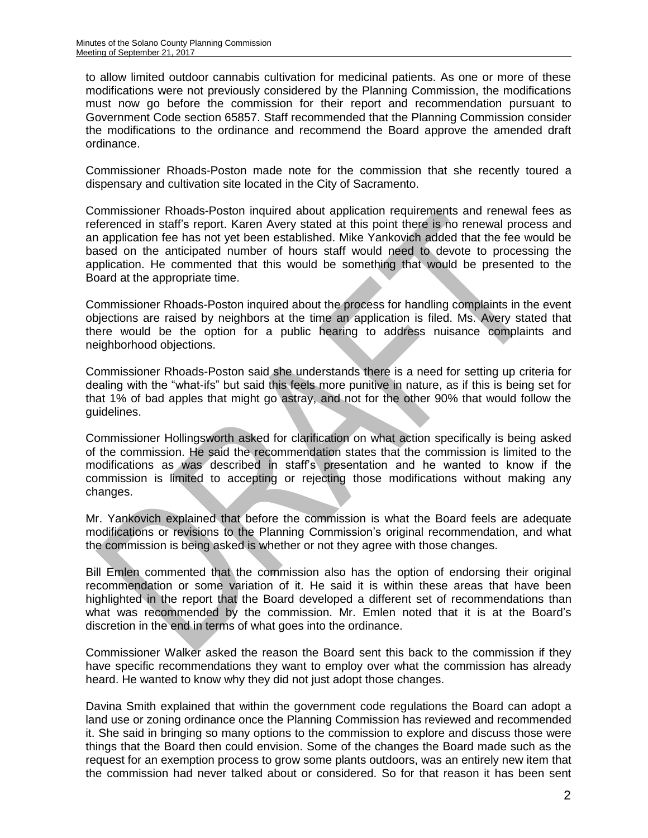to allow limited outdoor cannabis cultivation for medicinal patients. As one or more of these modifications were not previously considered by the Planning Commission, the modifications must now go before the commission for their report and recommendation pursuant to Government Code section 65857. Staff recommended that the Planning Commission consider the modifications to the ordinance and recommend the Board approve the amended draft ordinance.

Commissioner Rhoads-Poston made note for the commission that she recently toured a dispensary and cultivation site located in the City of Sacramento.

Commissioner Rhoads-Poston inquired about application requirements and renewal fees as referenced in staff's report. Karen Avery stated at this point there is no renewal process and an application fee has not yet been established. Mike Yankovich added that the fee would be based on the anticipated number of hours staff would need to devote to processing the application. He commented that this would be something that would be presented to the Board at the appropriate time.

Commissioner Rhoads-Poston inquired about the process for handling complaints in the event objections are raised by neighbors at the time an application is filed. Ms. Avery stated that there would be the option for a public hearing to address nuisance complaints and neighborhood objections.

Commissioner Rhoads-Poston said she understands there is a need for setting up criteria for dealing with the "what-ifs" but said this feels more punitive in nature, as if this is being set for that 1% of bad apples that might go astray, and not for the other 90% that would follow the guidelines.

Commissioner Hollingsworth asked for clarification on what action specifically is being asked of the commission. He said the recommendation states that the commission is limited to the modifications as was described in staff's presentation and he wanted to know if the commission is limited to accepting or rejecting those modifications without making any changes.

Mr. Yankovich explained that before the commission is what the Board feels are adequate modifications or revisions to the Planning Commission's original recommendation, and what the commission is being asked is whether or not they agree with those changes.

Bill Emlen commented that the commission also has the option of endorsing their original recommendation or some variation of it. He said it is within these areas that have been highlighted in the report that the Board developed a different set of recommendations than what was recommended by the commission. Mr. Emlen noted that it is at the Board's discretion in the end in terms of what goes into the ordinance.

Commissioner Walker asked the reason the Board sent this back to the commission if they have specific recommendations they want to employ over what the commission has already heard. He wanted to know why they did not just adopt those changes.

Davina Smith explained that within the government code regulations the Board can adopt a land use or zoning ordinance once the Planning Commission has reviewed and recommended it. She said in bringing so many options to the commission to explore and discuss those were things that the Board then could envision. Some of the changes the Board made such as the request for an exemption process to grow some plants outdoors, was an entirely new item that the commission had never talked about or considered. So for that reason it has been sent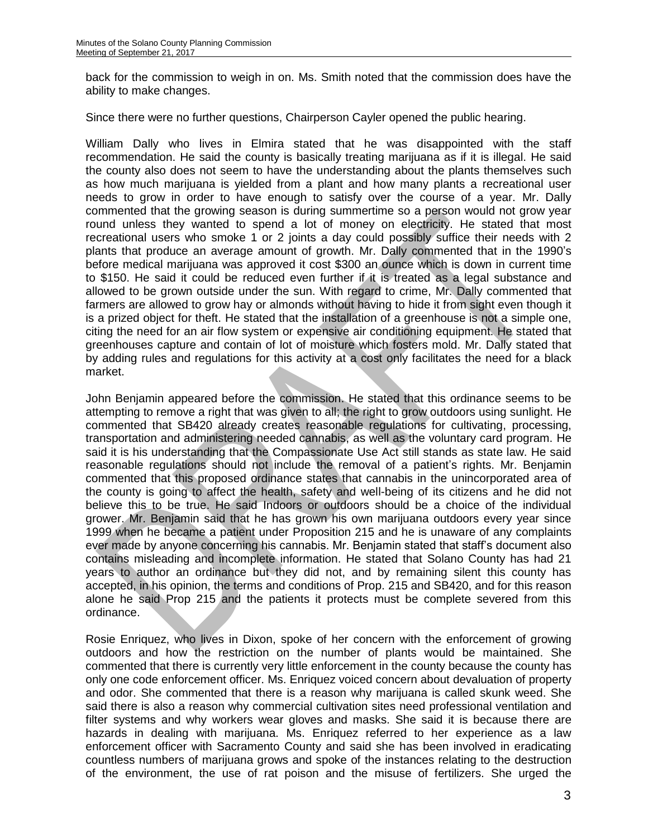back for the commission to weigh in on. Ms. Smith noted that the commission does have the ability to make changes.

Since there were no further questions, Chairperson Cayler opened the public hearing.

William Dally who lives in Elmira stated that he was disappointed with the staff recommendation. He said the county is basically treating marijuana as if it is illegal. He said the county also does not seem to have the understanding about the plants themselves such as how much marijuana is yielded from a plant and how many plants a recreational user needs to grow in order to have enough to satisfy over the course of a year. Mr. Dally commented that the growing season is during summertime so a person would not grow year round unless they wanted to spend a lot of money on electricity. He stated that most recreational users who smoke 1 or 2 joints a day could possibly suffice their needs with 2 plants that produce an average amount of growth. Mr. Dally commented that in the 1990's before medical marijuana was approved it cost \$300 an ounce which is down in current time to \$150. He said it could be reduced even further if it is treated as a legal substance and allowed to be grown outside under the sun. With regard to crime, Mr. Dally commented that farmers are allowed to grow hay or almonds without having to hide it from sight even though it is a prized object for theft. He stated that the installation of a greenhouse is not a simple one, citing the need for an air flow system or expensive air conditioning equipment. He stated that greenhouses capture and contain of lot of moisture which fosters mold. Mr. Dally stated that by adding rules and regulations for this activity at a cost only facilitates the need for a black market.

John Benjamin appeared before the commission. He stated that this ordinance seems to be attempting to remove a right that was given to all; the right to grow outdoors using sunlight. He commented that SB420 already creates reasonable regulations for cultivating, processing, transportation and administering needed cannabis, as well as the voluntary card program. He said it is his understanding that the Compassionate Use Act still stands as state law. He said reasonable regulations should not include the removal of a patient's rights. Mr. Benjamin commented that this proposed ordinance states that cannabis in the unincorporated area of the county is going to affect the health, safety and well-being of its citizens and he did not believe this to be true. He said Indoors or outdoors should be a choice of the individual grower. Mr. Benjamin said that he has grown his own marijuana outdoors every year since 1999 when he became a patient under Proposition 215 and he is unaware of any complaints ever made by anyone concerning his cannabis. Mr. Benjamin stated that staff's document also contains misleading and incomplete information. He stated that Solano County has had 21 years to author an ordinance but they did not, and by remaining silent this county has accepted, in his opinion, the terms and conditions of Prop. 215 and SB420, and for this reason alone he said Prop 215 and the patients it protects must be complete severed from this ordinance.

Rosie Enriquez, who lives in Dixon, spoke of her concern with the enforcement of growing outdoors and how the restriction on the number of plants would be maintained. She commented that there is currently very little enforcement in the county because the county has only one code enforcement officer. Ms. Enriquez voiced concern about devaluation of property and odor. She commented that there is a reason why marijuana is called skunk weed. She said there is also a reason why commercial cultivation sites need professional ventilation and filter systems and why workers wear gloves and masks. She said it is because there are hazards in dealing with marijuana. Ms. Enriquez referred to her experience as a law enforcement officer with Sacramento County and said she has been involved in eradicating countless numbers of marijuana grows and spoke of the instances relating to the destruction of the environment, the use of rat poison and the misuse of fertilizers. She urged the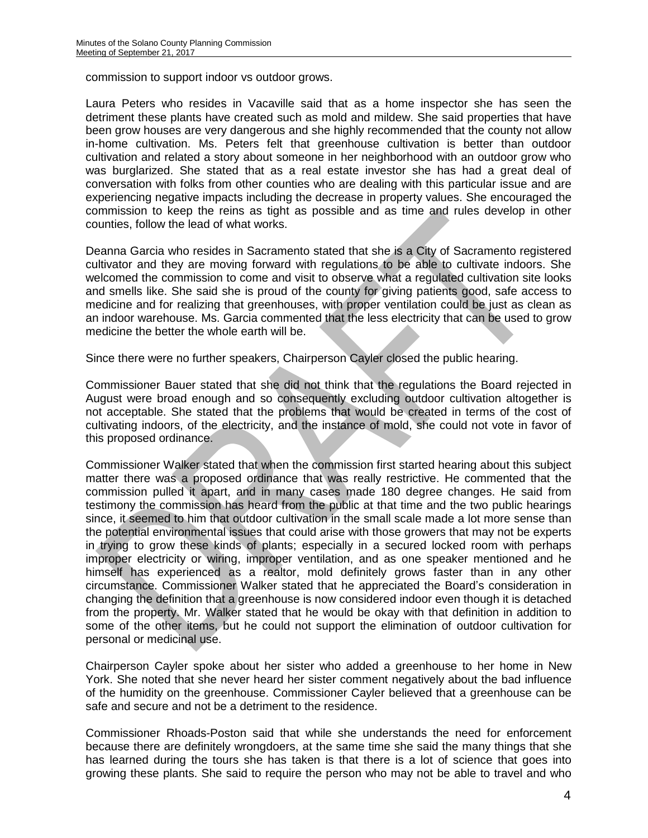commission to support indoor vs outdoor grows.

Laura Peters who resides in Vacaville said that as a home inspector she has seen the detriment these plants have created such as mold and mildew. She said properties that have been grow houses are very dangerous and she highly recommended that the county not allow in-home cultivation. Ms. Peters felt that greenhouse cultivation is better than outdoor cultivation and related a story about someone in her neighborhood with an outdoor grow who was burglarized. She stated that as a real estate investor she has had a great deal of conversation with folks from other counties who are dealing with this particular issue and are experiencing negative impacts including the decrease in property values. She encouraged the commission to keep the reins as tight as possible and as time and rules develop in other counties, follow the lead of what works.

Deanna Garcia who resides in Sacramento stated that she is a City of Sacramento registered cultivator and they are moving forward with regulations to be able to cultivate indoors. She welcomed the commission to come and visit to observe what a regulated cultivation site looks and smells like. She said she is proud of the county for giving patients good, safe access to medicine and for realizing that greenhouses, with proper ventilation could be just as clean as an indoor warehouse. Ms. Garcia commented that the less electricity that can be used to grow medicine the better the whole earth will be.

Since there were no further speakers, Chairperson Cayler closed the public hearing.

Commissioner Bauer stated that she did not think that the regulations the Board rejected in August were broad enough and so consequently excluding outdoor cultivation altogether is not acceptable. She stated that the problems that would be created in terms of the cost of cultivating indoors, of the electricity, and the instance of mold, she could not vote in favor of this proposed ordinance.

Commissioner Walker stated that when the commission first started hearing about this subject matter there was a proposed ordinance that was really restrictive. He commented that the commission pulled it apart, and in many cases made 180 degree changes. He said from testimony the commission has heard from the public at that time and the two public hearings since, it seemed to him that outdoor cultivation in the small scale made a lot more sense than the potential environmental issues that could arise with those growers that may not be experts in trying to grow these kinds of plants; especially in a secured locked room with perhaps improper electricity or wiring, improper ventilation, and as one speaker mentioned and he himself has experienced as a realtor, mold definitely grows faster than in any other circumstance. Commissioner Walker stated that he appreciated the Board's consideration in changing the definition that a greenhouse is now considered indoor even though it is detached from the property. Mr. Walker stated that he would be okay with that definition in addition to some of the other items, but he could not support the elimination of outdoor cultivation for personal or medicinal use.

Chairperson Cayler spoke about her sister who added a greenhouse to her home in New York. She noted that she never heard her sister comment negatively about the bad influence of the humidity on the greenhouse. Commissioner Cayler believed that a greenhouse can be safe and secure and not be a detriment to the residence.

Commissioner Rhoads-Poston said that while she understands the need for enforcement because there are definitely wrongdoers, at the same time she said the many things that she has learned during the tours she has taken is that there is a lot of science that goes into growing these plants. She said to require the person who may not be able to travel and who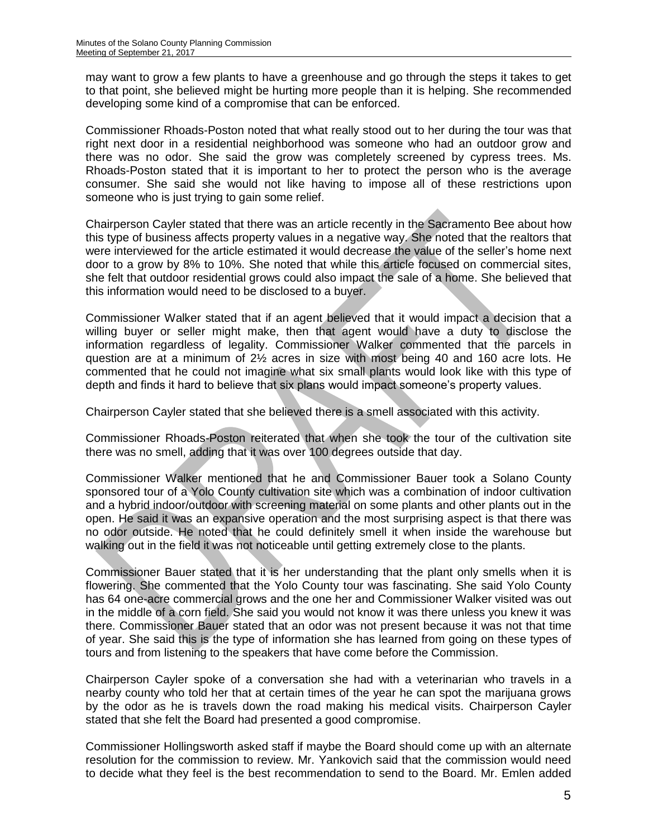may want to grow a few plants to have a greenhouse and go through the steps it takes to get to that point, she believed might be hurting more people than it is helping. She recommended developing some kind of a compromise that can be enforced.

Commissioner Rhoads-Poston noted that what really stood out to her during the tour was that right next door in a residential neighborhood was someone who had an outdoor grow and there was no odor. She said the grow was completely screened by cypress trees. Ms. Rhoads-Poston stated that it is important to her to protect the person who is the average consumer. She said she would not like having to impose all of these restrictions upon someone who is just trying to gain some relief.

Chairperson Cayler stated that there was an article recently in the Sacramento Bee about how this type of business affects property values in a negative way. She noted that the realtors that were interviewed for the article estimated it would decrease the value of the seller's home next door to a grow by 8% to 10%. She noted that while this article focused on commercial sites, she felt that outdoor residential grows could also impact the sale of a home. She believed that this information would need to be disclosed to a buyer.

Commissioner Walker stated that if an agent believed that it would impact a decision that a willing buyer or seller might make, then that agent would have a duty to disclose the information regardless of legality. Commissioner Walker commented that the parcels in question are at a minimum of 2½ acres in size with most being 40 and 160 acre lots. He commented that he could not imagine what six small plants would look like with this type of depth and finds it hard to believe that six plans would impact someone's property values.

Chairperson Cayler stated that she believed there is a smell associated with this activity.

Commissioner Rhoads-Poston reiterated that when she took the tour of the cultivation site there was no smell, adding that it was over 100 degrees outside that day.

Commissioner Walker mentioned that he and Commissioner Bauer took a Solano County sponsored tour of a Yolo County cultivation site which was a combination of indoor cultivation and a hybrid indoor/outdoor with screening material on some plants and other plants out in the open. He said it was an expansive operation and the most surprising aspect is that there was no odor outside. He noted that he could definitely smell it when inside the warehouse but walking out in the field it was not noticeable until getting extremely close to the plants.

Commissioner Bauer stated that it is her understanding that the plant only smells when it is flowering. She commented that the Yolo County tour was fascinating. She said Yolo County has 64 one-acre commercial grows and the one her and Commissioner Walker visited was out in the middle of a corn field. She said you would not know it was there unless you knew it was there. Commissioner Bauer stated that an odor was not present because it was not that time of year. She said this is the type of information she has learned from going on these types of tours and from listening to the speakers that have come before the Commission.

Chairperson Cayler spoke of a conversation she had with a veterinarian who travels in a nearby county who told her that at certain times of the year he can spot the marijuana grows by the odor as he is travels down the road making his medical visits. Chairperson Cayler stated that she felt the Board had presented a good compromise.

Commissioner Hollingsworth asked staff if maybe the Board should come up with an alternate resolution for the commission to review. Mr. Yankovich said that the commission would need to decide what they feel is the best recommendation to send to the Board. Mr. Emlen added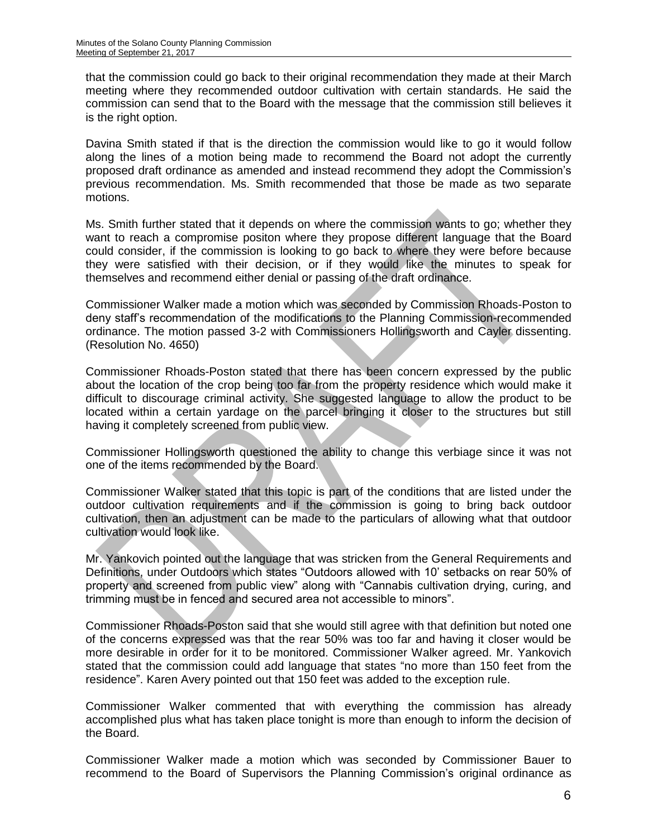that the commission could go back to their original recommendation they made at their March meeting where they recommended outdoor cultivation with certain standards. He said the commission can send that to the Board with the message that the commission still believes it is the right option.

Davina Smith stated if that is the direction the commission would like to go it would follow along the lines of a motion being made to recommend the Board not adopt the currently proposed draft ordinance as amended and instead recommend they adopt the Commission's previous recommendation. Ms. Smith recommended that those be made as two separate motions.

Ms. Smith further stated that it depends on where the commission wants to go; whether they want to reach a compromise positon where they propose different language that the Board could consider, if the commission is looking to go back to where they were before because they were satisfied with their decision, or if they would like the minutes to speak for themselves and recommend either denial or passing of the draft ordinance.

Commissioner Walker made a motion which was seconded by Commission Rhoads-Poston to deny staff's recommendation of the modifications to the Planning Commission-recommended ordinance. The motion passed 3-2 with Commissioners Hollingsworth and Cayler dissenting. (Resolution No. 4650)

Commissioner Rhoads-Poston stated that there has been concern expressed by the public about the location of the crop being too far from the property residence which would make it difficult to discourage criminal activity. She suggested language to allow the product to be located within a certain yardage on the parcel bringing it closer to the structures but still having it completely screened from public view.

Commissioner Hollingsworth questioned the ability to change this verbiage since it was not one of the items recommended by the Board.

Commissioner Walker stated that this topic is part of the conditions that are listed under the outdoor cultivation requirements and if the commission is going to bring back outdoor cultivation, then an adjustment can be made to the particulars of allowing what that outdoor cultivation would look like.

Mr. Yankovich pointed out the language that was stricken from the General Requirements and Definitions, under Outdoors which states "Outdoors allowed with 10' setbacks on rear 50% of property and screened from public view" along with "Cannabis cultivation drying, curing, and trimming must be in fenced and secured area not accessible to minors".

Commissioner Rhoads-Poston said that she would still agree with that definition but noted one of the concerns expressed was that the rear 50% was too far and having it closer would be more desirable in order for it to be monitored. Commissioner Walker agreed. Mr. Yankovich stated that the commission could add language that states "no more than 150 feet from the residence". Karen Avery pointed out that 150 feet was added to the exception rule.

Commissioner Walker commented that with everything the commission has already accomplished plus what has taken place tonight is more than enough to inform the decision of the Board.

Commissioner Walker made a motion which was seconded by Commissioner Bauer to recommend to the Board of Supervisors the Planning Commission's original ordinance as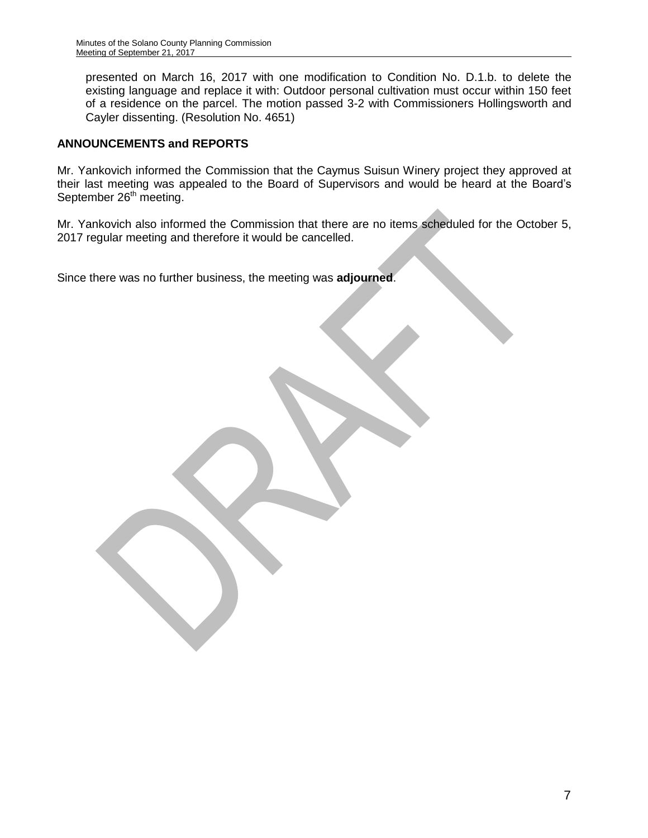presented on March 16, 2017 with one modification to Condition No. D.1.b. to delete the existing language and replace it with: Outdoor personal cultivation must occur within 150 feet of a residence on the parcel. The motion passed 3-2 with Commissioners Hollingsworth and Cayler dissenting. (Resolution No. 4651)

#### **ANNOUNCEMENTS and REPORTS**

Mr. Yankovich informed the Commission that the Caymus Suisun Winery project they approved at their last meeting was appealed to the Board of Supervisors and would be heard at the Board's September  $26<sup>th</sup>$  meeting.

Mr. Yankovich also informed the Commission that there are no items scheduled for the October 5, 2017 regular meeting and therefore it would be cancelled.

Since there was no further business, the meeting was **adjourned**.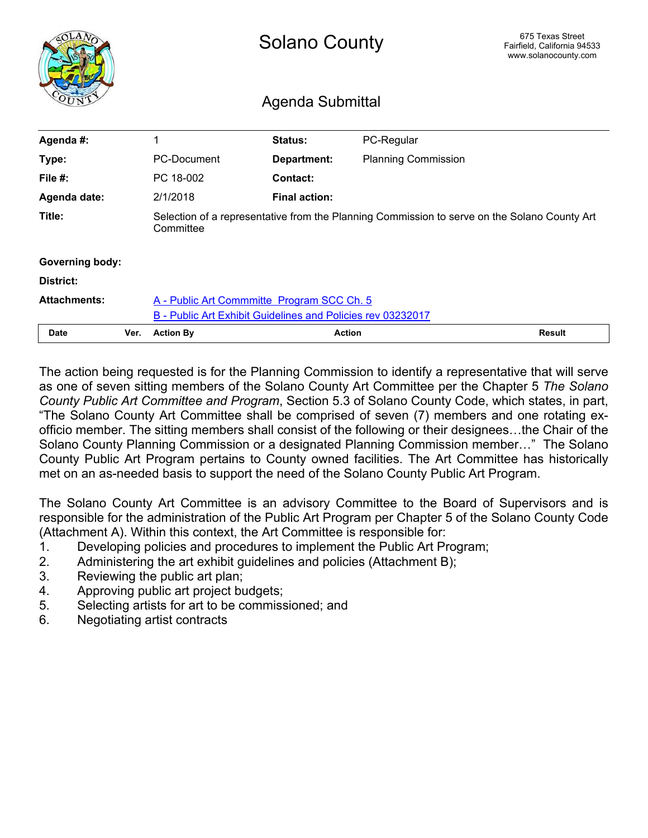<span id="page-11-0"></span>

|                        |      | <b>Solano County</b>                                        |                      |                                                                                              | 675 Texas Street<br>Fairfield, California 94533<br>www.solanocounty.com |
|------------------------|------|-------------------------------------------------------------|----------------------|----------------------------------------------------------------------------------------------|-------------------------------------------------------------------------|
|                        |      | Agenda Submittal                                            |                      |                                                                                              |                                                                         |
| Agenda #:              |      | 1                                                           | Status:              | PC-Regular                                                                                   |                                                                         |
| Type:                  |      | PC-Document                                                 | <b>Department:</b>   | <b>Planning Commission</b>                                                                   |                                                                         |
| File #:                |      | PC 18-002                                                   | Contact:             |                                                                                              |                                                                         |
| Agenda date:           |      | 2/1/2018                                                    | <b>Final action:</b> |                                                                                              |                                                                         |
| Title:                 |      | Committee                                                   |                      | Selection of a representative from the Planning Commission to serve on the Solano County Art |                                                                         |
| <b>Governing body:</b> |      |                                                             |                      |                                                                                              |                                                                         |
| District:              |      |                                                             |                      |                                                                                              |                                                                         |
| <b>Attachments:</b>    |      | A - Public Art Commmitte Program SCC Ch. 5                  |                      |                                                                                              |                                                                         |
|                        |      | B - Public Art Exhibit Guidelines and Policies rev 03232017 |                      |                                                                                              |                                                                         |
| <b>Date</b>            | Ver. | <b>Action By</b>                                            | <b>Action</b>        |                                                                                              | <b>Result</b>                                                           |

The action being requested is for the Planning Commission to identify a representative that will serve as one of seven sitting members of the Solano County Art Committee per the Chapter 5 *The Solano County Public Art Committee and Program*, Section 5.3 of Solano County Code, which states, in part, "The Solano County Art Committee shall be comprised of seven (7) members and one rotating exofficio member. The sitting members shall consist of the following or their designees…the Chair of the Solano County Planning Commission or a designated Planning Commission member…" The Solano County Public Art Program pertains to County owned facilities. The Art Committee has historically met on an as-needed basis to support the need of the Solano County Public Art Program.

The Solano County Art Committee is an advisory Committee to the Board of Supervisors and is responsible for the administration of the Public Art Program per Chapter 5 of the Solano County Code (Attachment A). Within this context, the Art Committee is responsible for:

- 1. Developing policies and procedures to implement the Public Art Program;
- 2. Administering the art exhibit guidelines and policies (Attachment B);
- 3. Reviewing the public art plan;
- 4. Approving public art project budgets;
- 5. Selecting artists for art to be commissioned; and
- 6. Negotiating artist contracts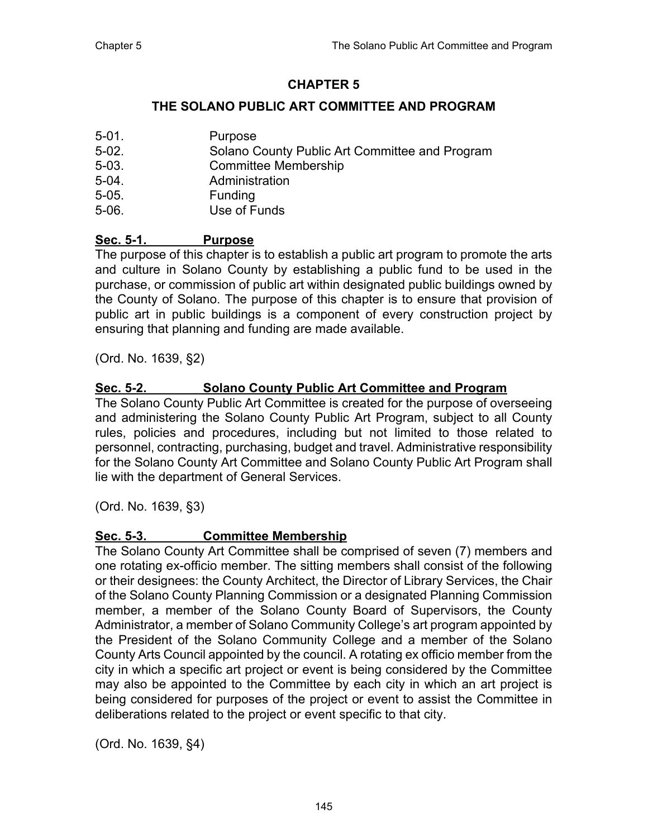## **CHAPTER 5**

## **THE SOLANO PUBLIC ART COMMITTEE AND PROGRAM**

<span id="page-12-0"></span>5-01. Purpose 5-02. Solano County Public Art Committee and Program 5-03. Committee Membership 5-04. Administration 5-05. Funding 5-06. Use of Funds

## **Sec. 5-1. Purpose**

The purpose of this chapter is to establish a public art program to promote the arts and culture in Solano County by establishing a public fund to be used in the purchase, or commission of public art within designated public buildings owned by the County of Solano. The purpose of this chapter is to ensure that provision of public art in public buildings is a component of every construction project by ensuring that planning and funding are made available.

(Ord. No. 1639, §2)

### **Sec. 5-2. Solano County Public Art Committee and Program**

The Solano County Public Art Committee is created for the purpose of overseeing and administering the Solano County Public Art Program, subject to all County rules, policies and procedures, including but not limited to those related to personnel, contracting, purchasing, budget and travel. Administrative responsibility for the Solano County Art Committee and Solano County Public Art Program shall lie with the department of General Services.

(Ord. No. 1639, §3)

### **Sec. 5-3. Committee Membership**

The Solano County Art Committee shall be comprised of seven (7) members and one rotating ex-officio member. The sitting members shall consist of the following or their designees: the County Architect, the Director of Library Services, the Chair of the Solano County Planning Commission or a designated Planning Commission member, a member of the Solano County Board of Supervisors, the County Administrator, a member of Solano Community College's art program appointed by the President of the Solano Community College and a member of the Solano County Arts Council appointed by the council. A rotating ex officio member from the city in which a specific art project or event is being considered by the Committee may also be appointed to the Committee by each city in which an art project is being considered for purposes of the project or event to assist the Committee in deliberations related to the project or event specific to that city.

(Ord. No. 1639, §4)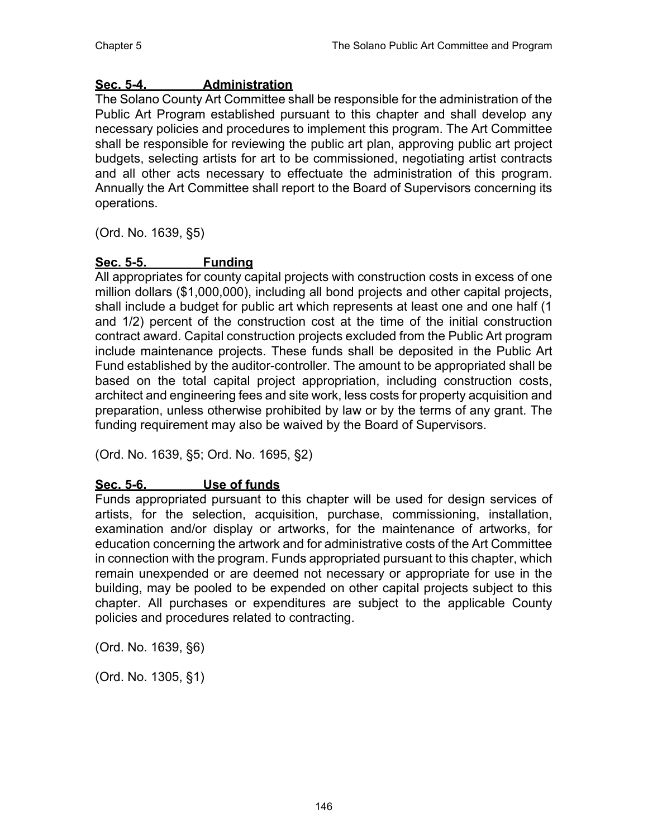## **Sec. 5-4. Administration**

The Solano County Art Committee shall be responsible for the administration of the Public Art Program established pursuant to this chapter and shall develop any necessary policies and procedures to implement this program. The Art Committee shall be responsible for reviewing the public art plan, approving public art project budgets, selecting artists for art to be commissioned, negotiating artist contracts and all other acts necessary to effectuate the administration of this program. Annually the Art Committee shall report to the Board of Supervisors concerning its operations.

(Ord. No. 1639, §5)

## **Sec. 5-5. Funding**

All appropriates for county capital projects with construction costs in excess of one million dollars (\$1,000,000), including all bond projects and other capital projects, shall include a budget for public art which represents at least one and one half (1 and 1/2) percent of the construction cost at the time of the initial construction contract award. Capital construction projects excluded from the Public Art program include maintenance projects. These funds shall be deposited in the Public Art Fund established by the auditor-controller. The amount to be appropriated shall be based on the total capital project appropriation, including construction costs, architect and engineering fees and site work, less costs for property acquisition and preparation, unless otherwise prohibited by law or by the terms of any grant. The funding requirement may also be waived by the Board of Supervisors.

(Ord. No. 1639, §5; Ord. No. 1695, §2)

### **Sec. 5-6. Use of funds**

Funds appropriated pursuant to this chapter will be used for design services of artists, for the selection, acquisition, purchase, commissioning, installation, examination and/or display or artworks, for the maintenance of artworks, for education concerning the artwork and for administrative costs of the Art Committee in connection with the program. Funds appropriated pursuant to this chapter, which remain unexpended or are deemed not necessary or appropriate for use in the building, may be pooled to be expended on other capital projects subject to this chapter. All purchases or expenditures are subject to the applicable County policies and procedures related to contracting.

(Ord. No. 1639, §6)

(Ord. No. 1305, §1)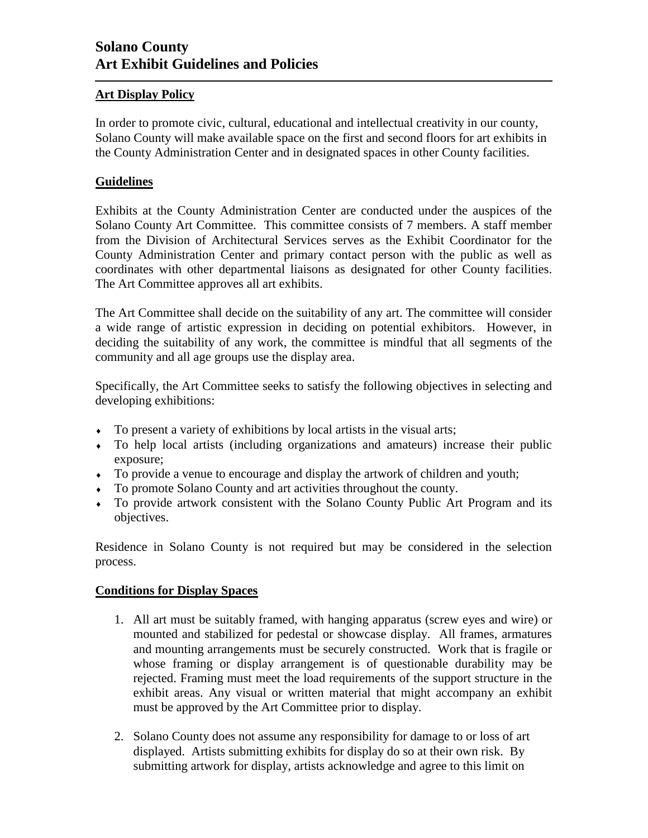#### <span id="page-14-0"></span>**Art Display Policy**

In order to promote civic, cultural, educational and intellectual creativity in our county, Solano County will make available space on the first and second floors for art exhibits in the County Administration Center and in designated spaces in other County facilities.

#### **Guidelines**

Exhibits at the County Administration Center are conducted under the auspices of the Solano County Art Committee. This committee consists of 7 members. A staff member from the Division of Architectural Services serves as the Exhibit Coordinator for the County Administration Center and primary contact person with the public as well as coordinates with other departmental liaisons as designated for other County facilities. The Art Committee approves all art exhibits.

The Art Committee shall decide on the suitability of any art. The committee will consider a wide range of artistic expression in deciding on potential exhibitors. However, in deciding the suitability of any work, the committee is mindful that all segments of the community and all age groups use the display area.

Specifically, the Art Committee seeks to satisfy the following objectives in selecting and developing exhibitions:

- To present a variety of exhibitions by local artists in the visual arts;
- To help local artists (including organizations and amateurs) increase their public exposure;
- To provide a venue to encourage and display the artwork of children and youth;
- To promote Solano County and art activities throughout the county.
- To provide artwork consistent with the Solano County Public Art Program and its objectives.

Residence in Solano County is not required but may be considered in the selection process.

#### **Conditions for Display Spaces**

- 1. All art must be suitably framed, with hanging apparatus (screw eyes and wire) or mounted and stabilized for pedestal or showcase display. All frames, armatures and mounting arrangements must be securely constructed. Work that is fragile or whose framing or display arrangement is of questionable durability may be rejected. Framing must meet the load requirements of the support structure in the exhibit areas. Any visual or written material that might accompany an exhibit must be approved by the Art Committee prior to display.
- 2. Solano County does not assume any responsibility for damage to or loss of art displayed. Artists submitting exhibits for display do so at their own risk. By submitting artwork for display, artists acknowledge and agree to this limit on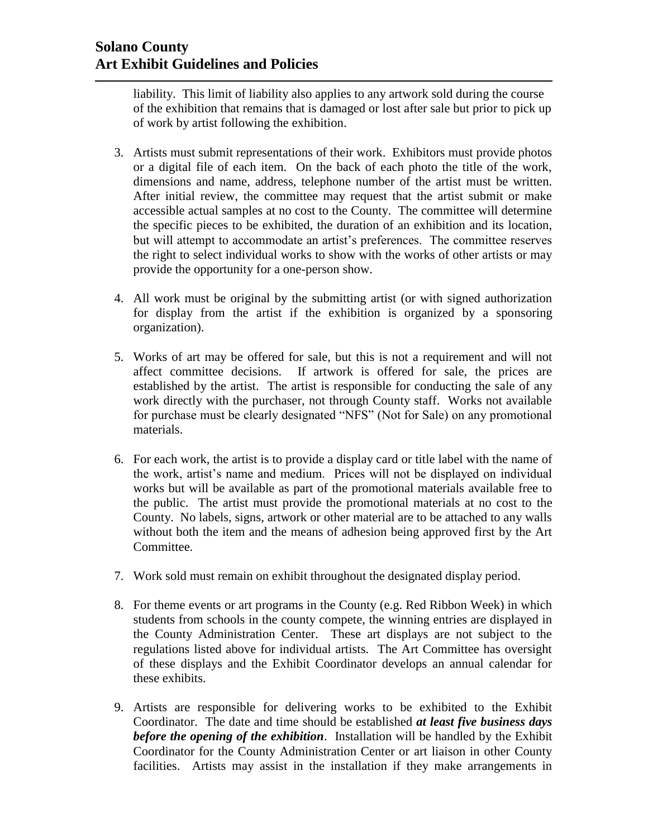liability. This limit of liability also applies to any artwork sold during the course of the exhibition that remains that is damaged or lost after sale but prior to pick up of work by artist following the exhibition.

- 3. Artists must submit representations of their work. Exhibitors must provide photos or a digital file of each item. On the back of each photo the title of the work, dimensions and name, address, telephone number of the artist must be written*.* After initial review, the committee may request that the artist submit or make accessible actual samples at no cost to the County. The committee will determine the specific pieces to be exhibited, the duration of an exhibition and its location, but will attempt to accommodate an artist's preferences. The committee reserves the right to select individual works to show with the works of other artists or may provide the opportunity for a one-person show.
- 4. All work must be original by the submitting artist (or with signed authorization for display from the artist if the exhibition is organized by a sponsoring organization).
- 5. Works of art may be offered for sale, but this is not a requirement and will not affect committee decisions. If artwork is offered for sale, the prices are established by the artist. The artist is responsible for conducting the sale of any work directly with the purchaser, not through County staff. Works not available for purchase must be clearly designated "NFS" (Not for Sale) on any promotional materials.
- 6. For each work, the artist is to provide a display card or title label with the name of the work, artist's name and medium. Prices will not be displayed on individual works but will be available as part of the promotional materials available free to the public. The artist must provide the promotional materials at no cost to the County. No labels, signs, artwork or other material are to be attached to any walls without both the item and the means of adhesion being approved first by the Art Committee.
- 7. Work sold must remain on exhibit throughout the designated display period.
- 8. For theme events or art programs in the County (e.g. Red Ribbon Week) in which students from schools in the county compete, the winning entries are displayed in the County Administration Center. These art displays are not subject to the regulations listed above for individual artists. The Art Committee has oversight of these displays and the Exhibit Coordinator develops an annual calendar for these exhibits.
- 9. Artists are responsible for delivering works to be exhibited to the Exhibit Coordinator. The date and time should be established *at least five business days before the opening of the exhibition*. Installation will be handled by the Exhibit Coordinator for the County Administration Center or art liaison in other County facilities. Artists may assist in the installation if they make arrangements in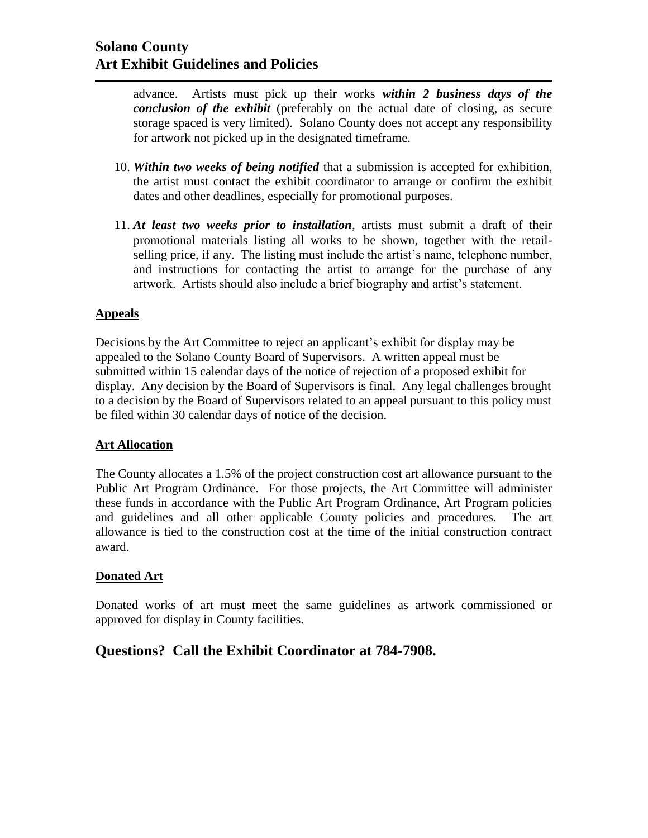advance. Artists must pick up their works *within 2 business days of the conclusion of the exhibit* (preferably on the actual date of closing, as secure storage spaced is very limited). Solano County does not accept any responsibility for artwork not picked up in the designated timeframe.

- 10. *Within two weeks of being notified* that a submission is accepted for exhibition, the artist must contact the exhibit coordinator to arrange or confirm the exhibit dates and other deadlines, especially for promotional purposes.
- 11. *At least two weeks prior to installation*, artists must submit a draft of their promotional materials listing all works to be shown, together with the retailselling price, if any. The listing must include the artist's name, telephone number, and instructions for contacting the artist to arrange for the purchase of any artwork. Artists should also include a brief biography and artist's statement.

#### **Appeals**

Decisions by the Art Committee to reject an applicant's exhibit for display may be appealed to the Solano County Board of Supervisors. A written appeal must be submitted within 15 calendar days of the notice of rejection of a proposed exhibit for display. Any decision by the Board of Supervisors is final. Any legal challenges brought to a decision by the Board of Supervisors related to an appeal pursuant to this policy must be filed within 30 calendar days of notice of the decision.

#### **Art Allocation**

The County allocates a 1.5% of the project construction cost art allowance pursuant to the Public Art Program Ordinance. For those projects, the Art Committee will administer these funds in accordance with the Public Art Program Ordinance, Art Program policies and guidelines and all other applicable County policies and procedures. The art allowance is tied to the construction cost at the time of the initial construction contract award.

#### **Donated Art**

Donated works of art must meet the same guidelines as artwork commissioned or approved for display in County facilities.

## **Questions? Call the Exhibit Coordinator at 784-7908.**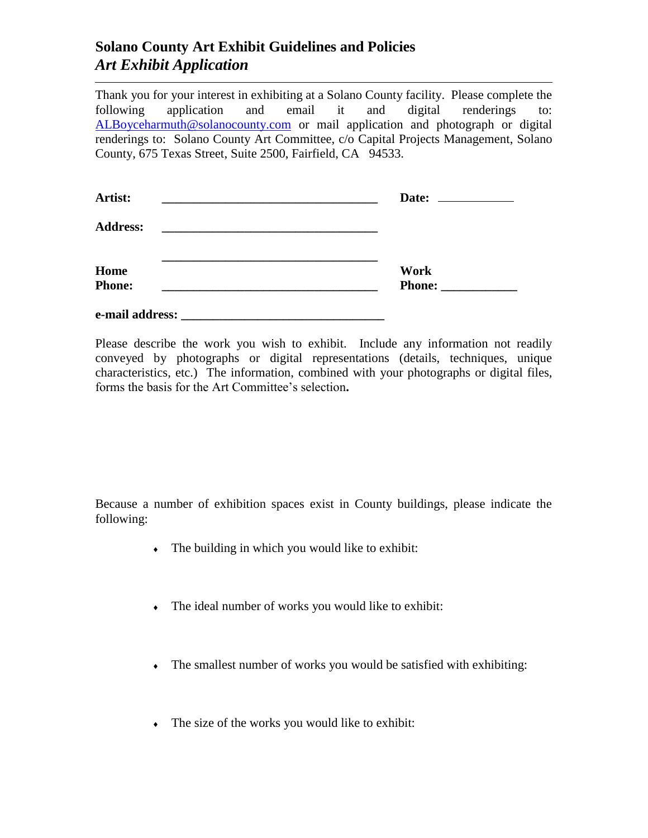## **Solano County Art Exhibit Guidelines and Policies** *Art Exhibit Application*

Thank you for your interest in exhibiting at a Solano County facility. Please complete the following application and email it and digital renderings to: [ALBoyceharmuth@solanocounty.com](mailto:ALBoyceharmuth@solanocounty.com) or mail application and photograph or digital renderings to: Solano County Art Committee, c/o Capital Projects Management, Solano County, 675 Texas Street, Suite 2500, Fairfield, CA 94533.

| Artist:                                                                                                                                 | Date: $\frac{1}{\sqrt{1-\frac{1}{2}}\cdot\frac{1}{\sqrt{1-\frac{1}{2}}}}$ |
|-----------------------------------------------------------------------------------------------------------------------------------------|---------------------------------------------------------------------------|
| <b>Address:</b><br><u> 1980 - Jan Stein Stein Stein Stein Stein Stein Stein Stein Stein Stein Stein Stein Stein Stein Stein Stein S</u> |                                                                           |
| Home                                                                                                                                    | <b>Work</b>                                                               |
| <b>Phone:</b>                                                                                                                           | <b>Phone:</b>                                                             |
| e-mail address:                                                                                                                         |                                                                           |

Please describe the work you wish to exhibit. Include any information not readily conveyed by photographs or digital representations (details, techniques, unique characteristics, etc.) The information, combined with your photographs or digital files, forms the basis for the Art Committee's selection**.**

Because a number of exhibition spaces exist in County buildings, please indicate the following:

- The building in which you would like to exhibit:
- The ideal number of works you would like to exhibit:
- The smallest number of works you would be satisfied with exhibiting:
- The size of the works you would like to exhibit: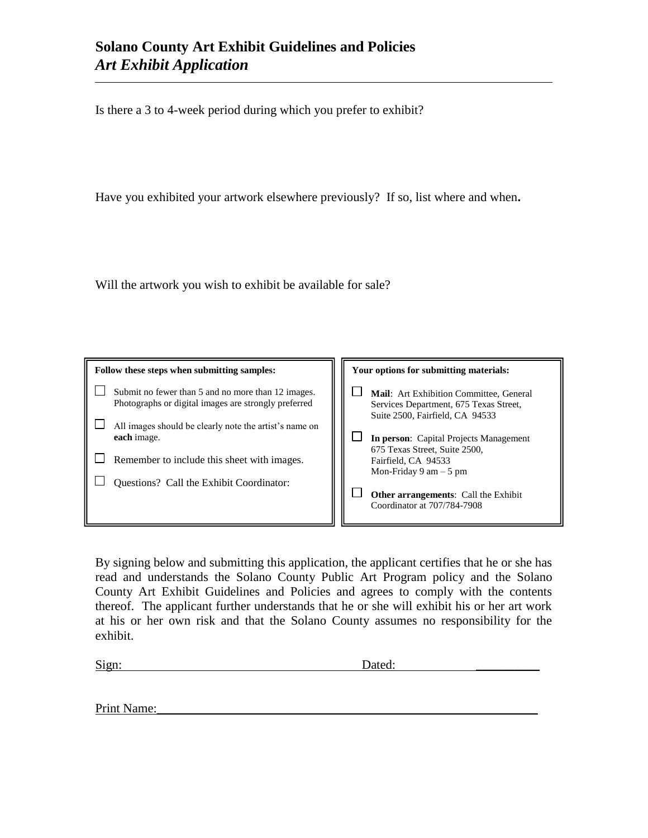Is there a 3 to 4-week period during which you prefer to exhibit?

Have you exhibited your artwork elsewhere previously? If so, list where and when**.**

Will the artwork you wish to exhibit be available for sale?

| Follow these steps when submitting samples:                                                                | Your options for submitting materials:                                                                               |  |  |
|------------------------------------------------------------------------------------------------------------|----------------------------------------------------------------------------------------------------------------------|--|--|
| Submit no fewer than 5 and no more than 12 images.<br>Photographs or digital images are strongly preferred | Mail: Art Exhibition Committee, General<br>Services Department, 675 Texas Street,<br>Suite 2500, Fairfield, CA 94533 |  |  |
| All images should be clearly note the artist's name on<br>each image.                                      | <b>In person:</b> Capital Projects Management<br>675 Texas Street, Suite 2500,                                       |  |  |
| Remember to include this sheet with images.                                                                | Fairfield, CA 94533<br>Mon-Friday 9 am $-5$ pm                                                                       |  |  |
| Questions? Call the Exhibit Coordinator:                                                                   | <b>Other arrangements:</b> Call the Exhibit<br>Coordinator at 707/784-7908                                           |  |  |

By signing below and submitting this application, the applicant certifies that he or she has read and understands the Solano County Public Art Program policy and the Solano County Art Exhibit Guidelines and Policies and agrees to comply with the contents thereof. The applicant further understands that he or she will exhibit his or her art work at his or her own risk and that the Solano County assumes no responsibility for the exhibit.

Sign: Dated:

Print Name:\_\_\_\_\_\_\_\_\_\_\_\_\_\_\_\_\_\_\_\_\_\_\_\_\_\_\_\_\_\_\_\_\_\_\_\_\_\_\_\_\_\_\_\_\_\_\_\_\_\_\_\_\_\_\_\_\_\_\_\_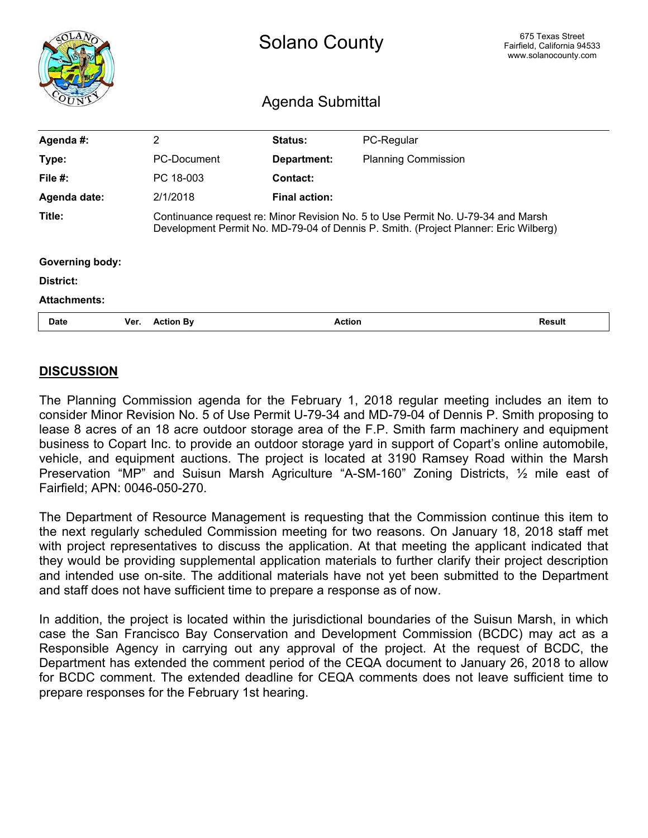<span id="page-19-0"></span>

|                        |      | <b>Solano County</b><br>Agenda Submittal |                      |                                                                                                                                                                         | 675 Texas Street<br>Fairfield, California 94533<br>www.solanocounty.com |
|------------------------|------|------------------------------------------|----------------------|-------------------------------------------------------------------------------------------------------------------------------------------------------------------------|-------------------------------------------------------------------------|
| Agenda #:              |      | $\overline{2}$                           | Status:              | PC-Regular                                                                                                                                                              |                                                                         |
| Type:                  |      | <b>PC-Document</b>                       | Department:          | <b>Planning Commission</b>                                                                                                                                              |                                                                         |
| File $#$ :             |      | PC 18-003                                | <b>Contact:</b>      |                                                                                                                                                                         |                                                                         |
| Agenda date:           |      | 2/1/2018                                 | <b>Final action:</b> |                                                                                                                                                                         |                                                                         |
| Title:                 |      |                                          |                      | Continuance request re: Minor Revision No. 5 to Use Permit No. U-79-34 and Marsh<br>Development Permit No. MD-79-04 of Dennis P. Smith. (Project Planner: Eric Wilberg) |                                                                         |
| <b>Governing body:</b> |      |                                          |                      |                                                                                                                                                                         |                                                                         |
| District:              |      |                                          |                      |                                                                                                                                                                         |                                                                         |
| <b>Attachments:</b>    |      |                                          |                      |                                                                                                                                                                         |                                                                         |
| <b>Date</b>            | Ver. | <b>Action By</b>                         |                      | <b>Action</b>                                                                                                                                                           | <b>Result</b>                                                           |

### **DISCUSSION**

The Planning Commission agenda for the February 1, 2018 regular meeting includes an item to consider Minor Revision No. 5 of Use Permit U-79-34 and MD-79-04 of Dennis P. Smith proposing to lease 8 acres of an 18 acre outdoor storage area of the F.P. Smith farm machinery and equipment business to Copart Inc. to provide an outdoor storage yard in support of Copart's online automobile, vehicle, and equipment auctions. The project is located at 3190 Ramsey Road within the Marsh Preservation "MP" and Suisun Marsh Agriculture "A-SM-160" Zoning Districts, ½ mile east of Fairfield; APN: 0046-050-270.

The Department of Resource Management is requesting that the Commission continue this item to the next regularly scheduled Commission meeting for two reasons. On January 18, 2018 staff met with project representatives to discuss the application. At that meeting the applicant indicated that they would be providing supplemental application materials to further clarify their project description and intended use on-site. The additional materials have not yet been submitted to the Department and staff does not have sufficient time to prepare a response as of now.

In addition, the project is located within the jurisdictional boundaries of the Suisun Marsh, in which case the San Francisco Bay Conservation and Development Commission (BCDC) may act as a Responsible Agency in carrying out any approval of the project. At the request of BCDC, the Department has extended the comment period of the CEQA document to January 26, 2018 to allow for BCDC comment. The extended deadline for CEQA comments does not leave sufficient time to prepare responses for the February 1st hearing.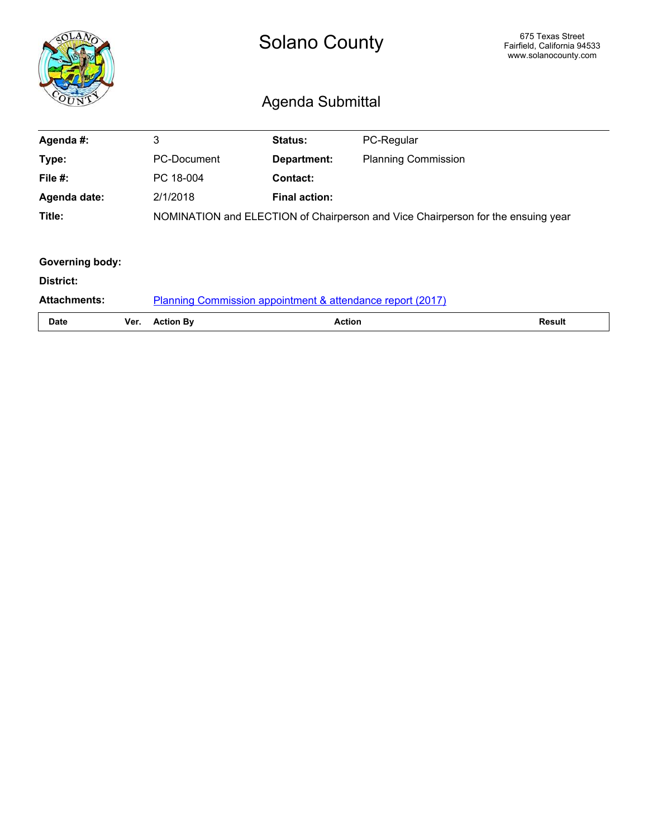<span id="page-20-0"></span>

|                        |      | <b>Solano County</b><br>Agenda Submittal                   |                      |                                                                                  | 675 Texas Street<br>Fairfield, California 94533<br>www.solanocounty.com |
|------------------------|------|------------------------------------------------------------|----------------------|----------------------------------------------------------------------------------|-------------------------------------------------------------------------|
| Agenda #:              |      | 3                                                          | Status:              | PC-Regular                                                                       |                                                                         |
| Type:                  |      | <b>PC-Document</b>                                         | Department:          | <b>Planning Commission</b>                                                       |                                                                         |
| File $#$ :             |      | PC 18-004                                                  | <b>Contact:</b>      |                                                                                  |                                                                         |
| Agenda date:           |      | 2/1/2018                                                   | <b>Final action:</b> |                                                                                  |                                                                         |
| Title:                 |      |                                                            |                      | NOMINATION and ELECTION of Chairperson and Vice Chairperson for the ensuing year |                                                                         |
| <b>Governing body:</b> |      |                                                            |                      |                                                                                  |                                                                         |
| District:              |      |                                                            |                      |                                                                                  |                                                                         |
| <b>Attachments:</b>    |      | Planning Commission appointment & attendance report (2017) |                      |                                                                                  |                                                                         |
| <b>Date</b>            | Ver. | <b>Action By</b>                                           | <b>Action</b>        |                                                                                  | <b>Result</b>                                                           |